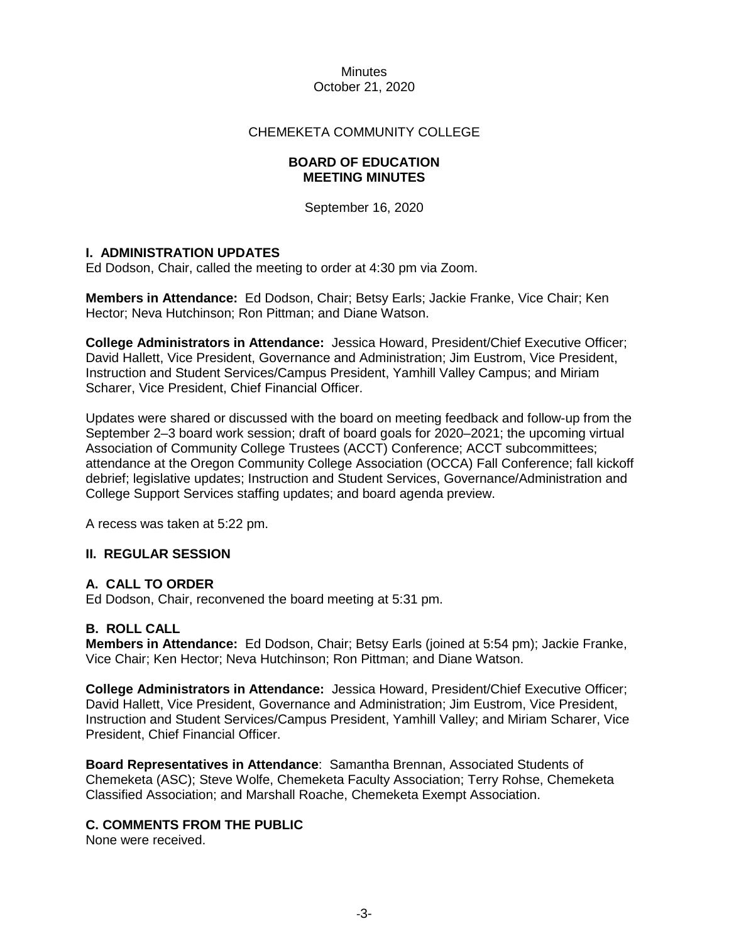## CHEMEKETA COMMUNITY COLLEGE

## **BOARD OF EDUCATION MEETING MINUTES**

September 16, 2020

## **I. ADMINISTRATION UPDATES**

Ed Dodson, Chair, called the meeting to order at 4:30 pm via Zoom.

**Members in Attendance:** Ed Dodson, Chair; Betsy Earls; Jackie Franke, Vice Chair; Ken Hector; Neva Hutchinson; Ron Pittman; and Diane Watson.

**College Administrators in Attendance:** Jessica Howard, President/Chief Executive Officer; David Hallett, Vice President, Governance and Administration; Jim Eustrom, Vice President, Instruction and Student Services/Campus President, Yamhill Valley Campus; and Miriam Scharer, Vice President, Chief Financial Officer.

Updates were shared or discussed with the board on meeting feedback and follow-up from the September 2–3 board work session; draft of board goals for 2020–2021; the upcoming virtual Association of Community College Trustees (ACCT) Conference; ACCT subcommittees; attendance at the Oregon Community College Association (OCCA) Fall Conference; fall kickoff debrief; legislative updates; Instruction and Student Services, Governance/Administration and College Support Services staffing updates; and board agenda preview.

A recess was taken at 5:22 pm.

## **II. REGULAR SESSION**

# **A. CALL TO ORDER**

Ed Dodson, Chair, reconvened the board meeting at 5:31 pm.

## **B. ROLL CALL**

**Members in Attendance:** Ed Dodson, Chair; Betsy Earls (joined at 5:54 pm); Jackie Franke, Vice Chair; Ken Hector; Neva Hutchinson; Ron Pittman; and Diane Watson.

**College Administrators in Attendance:** Jessica Howard, President/Chief Executive Officer; David Hallett, Vice President, Governance and Administration; Jim Eustrom, Vice President, Instruction and Student Services/Campus President, Yamhill Valley; and Miriam Scharer, Vice President, Chief Financial Officer.

**Board Representatives in Attendance**: Samantha Brennan, Associated Students of Chemeketa (ASC); Steve Wolfe, Chemeketa Faculty Association; Terry Rohse, Chemeketa Classified Association; and Marshall Roache, Chemeketa Exempt Association.

# **C. COMMENTS FROM THE PUBLIC**

None were received.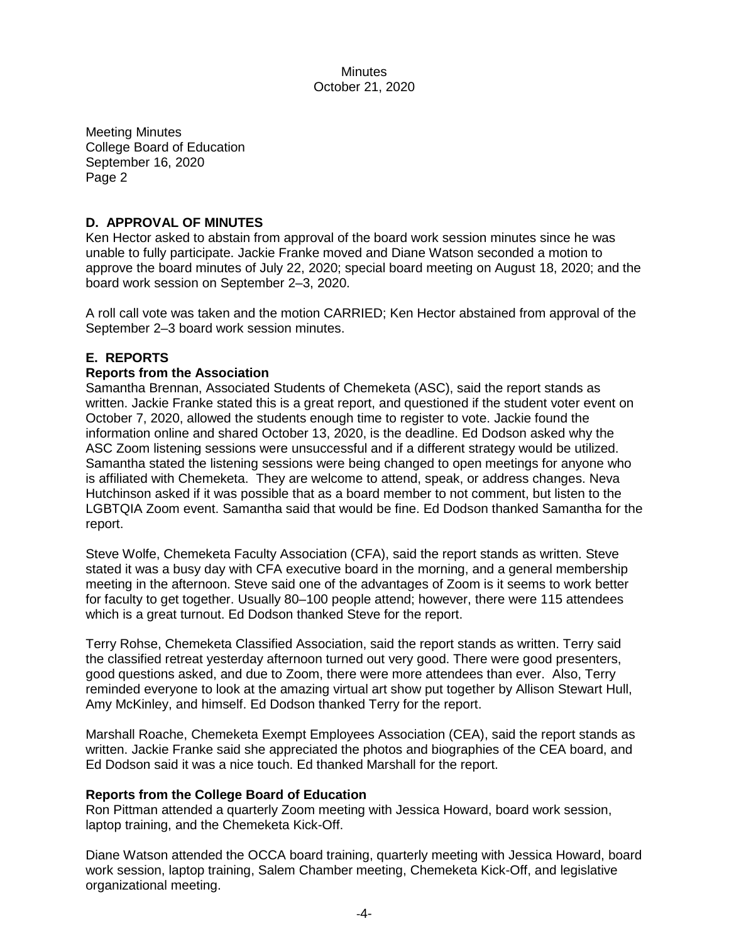Meeting Minutes College Board of Education September 16, 2020 Page 2

# **D. APPROVAL OF MINUTES**

Ken Hector asked to abstain from approval of the board work session minutes since he was unable to fully participate. Jackie Franke moved and Diane Watson seconded a motion to approve the board minutes of July 22, 2020; special board meeting on August 18, 2020; and the board work session on September 2–3, 2020.

A roll call vote was taken and the motion CARRIED; Ken Hector abstained from approval of the September 2–3 board work session minutes.

# **E. REPORTS**

## **Reports from the Association**

Samantha Brennan, Associated Students of Chemeketa (ASC), said the report stands as written. Jackie Franke stated this is a great report, and questioned if the student voter event on October 7, 2020, allowed the students enough time to register to vote. Jackie found the information online and shared October 13, 2020, is the deadline. Ed Dodson asked why the ASC Zoom listening sessions were unsuccessful and if a different strategy would be utilized. Samantha stated the listening sessions were being changed to open meetings for anyone who is affiliated with Chemeketa. They are welcome to attend, speak, or address changes. Neva Hutchinson asked if it was possible that as a board member to not comment, but listen to the LGBTQIA Zoom event. Samantha said that would be fine. Ed Dodson thanked Samantha for the report.

Steve Wolfe, Chemeketa Faculty Association (CFA), said the report stands as written. Steve stated it was a busy day with CFA executive board in the morning, and a general membership meeting in the afternoon. Steve said one of the advantages of Zoom is it seems to work better for faculty to get together. Usually 80–100 people attend; however, there were 115 attendees which is a great turnout. Ed Dodson thanked Steve for the report.

Terry Rohse, Chemeketa Classified Association, said the report stands as written. Terry said the classified retreat yesterday afternoon turned out very good. There were good presenters, good questions asked, and due to Zoom, there were more attendees than ever. Also, Terry reminded everyone to look at the amazing virtual art show put together by Allison Stewart Hull, Amy McKinley, and himself. Ed Dodson thanked Terry for the report.

Marshall Roache, Chemeketa Exempt Employees Association (CEA), said the report stands as written. Jackie Franke said she appreciated the photos and biographies of the CEA board, and Ed Dodson said it was a nice touch. Ed thanked Marshall for the report.

## **Reports from the College Board of Education**

Ron Pittman attended a quarterly Zoom meeting with Jessica Howard, board work session, laptop training, and the Chemeketa Kick-Off.

Diane Watson attended the OCCA board training, quarterly meeting with Jessica Howard, board work session, laptop training, Salem Chamber meeting, Chemeketa Kick-Off, and legislative organizational meeting.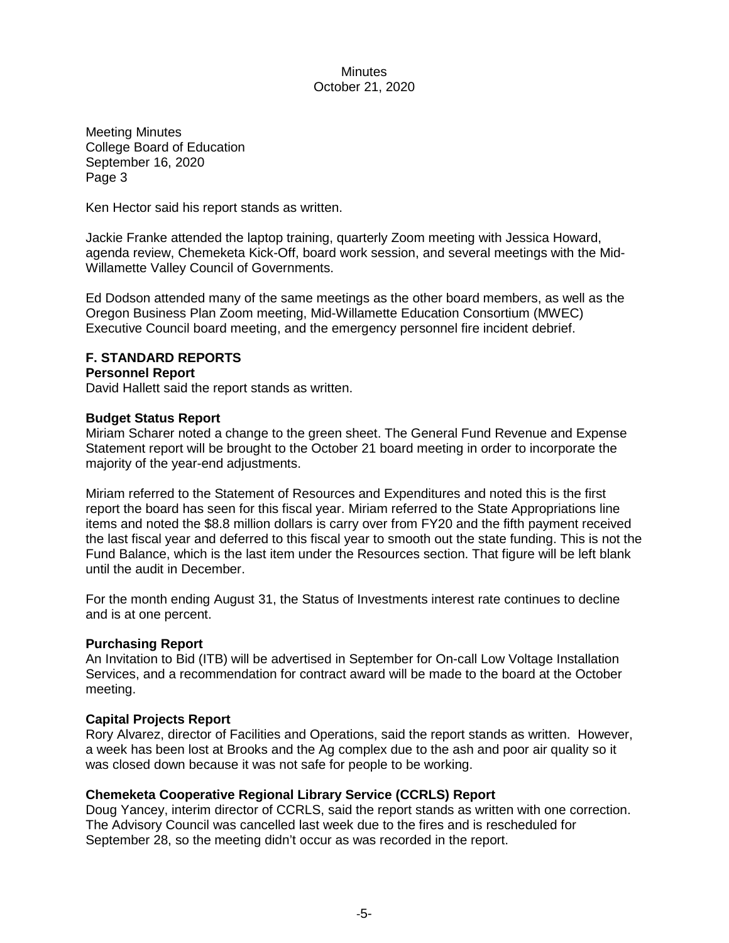Meeting Minutes College Board of Education September 16, 2020 Page 3

Ken Hector said his report stands as written.

Jackie Franke attended the laptop training, quarterly Zoom meeting with Jessica Howard, agenda review, Chemeketa Kick-Off, board work session, and several meetings with the Mid-Willamette Valley Council of Governments.

Ed Dodson attended many of the same meetings as the other board members, as well as the Oregon Business Plan Zoom meeting, Mid-Willamette Education Consortium (MWEC) Executive Council board meeting, and the emergency personnel fire incident debrief.

## **F. STANDARD REPORTS**

#### **Personnel Report**

David Hallett said the report stands as written.

#### **Budget Status Report**

Miriam Scharer noted a change to the green sheet. The General Fund Revenue and Expense Statement report will be brought to the October 21 board meeting in order to incorporate the majority of the year-end adjustments.

Miriam referred to the Statement of Resources and Expenditures and noted this is the first report the board has seen for this fiscal year. Miriam referred to the State Appropriations line items and noted the \$8.8 million dollars is carry over from FY20 and the fifth payment received the last fiscal year and deferred to this fiscal year to smooth out the state funding. This is not the Fund Balance, which is the last item under the Resources section. That figure will be left blank until the audit in December.

For the month ending August 31, the Status of Investments interest rate continues to decline and is at one percent.

## **Purchasing Report**

An Invitation to Bid (ITB) will be advertised in September for On-call Low Voltage Installation Services, and a recommendation for contract award will be made to the board at the October meeting.

## **Capital Projects Report**

Rory Alvarez, director of Facilities and Operations, said the report stands as written. However, a week has been lost at Brooks and the Ag complex due to the ash and poor air quality so it was closed down because it was not safe for people to be working.

## **Chemeketa Cooperative Regional Library Service (CCRLS) Report**

Doug Yancey, interim director of CCRLS, said the report stands as written with one correction. The Advisory Council was cancelled last week due to the fires and is rescheduled for September 28, so the meeting didn't occur as was recorded in the report.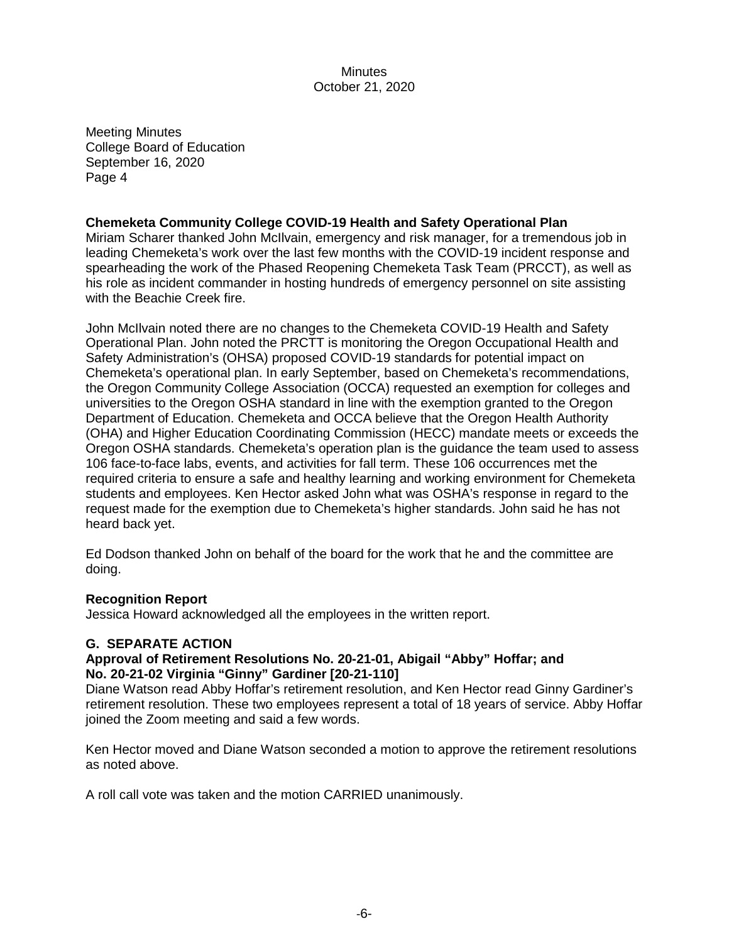Meeting Minutes College Board of Education September 16, 2020 Page 4

## **Chemeketa Community College COVID-19 Health and Safety Operational Plan**

Miriam Scharer thanked John McIlvain, emergency and risk manager, for a tremendous job in leading Chemeketa's work over the last few months with the COVID-19 incident response and spearheading the work of the Phased Reopening Chemeketa Task Team (PRCCT), as well as his role as incident commander in hosting hundreds of emergency personnel on site assisting with the Beachie Creek fire.

John McIlvain noted there are no changes to the Chemeketa COVID-19 Health and Safety Operational Plan. John noted the PRCTT is monitoring the Oregon Occupational Health and Safety Administration's (OHSA) proposed COVID-19 standards for potential impact on Chemeketa's operational plan. In early September, based on Chemeketa's recommendations, the Oregon Community College Association (OCCA) requested an exemption for colleges and universities to the Oregon OSHA standard in line with the exemption granted to the Oregon Department of Education. Chemeketa and OCCA believe that the Oregon Health Authority (OHA) and Higher Education Coordinating Commission (HECC) mandate meets or exceeds the Oregon OSHA standards. Chemeketa's operation plan is the guidance the team used to assess 106 face-to-face labs, events, and activities for fall term. These 106 occurrences met the required criteria to ensure a safe and healthy learning and working environment for Chemeketa students and employees. Ken Hector asked John what was OSHA's response in regard to the request made for the exemption due to Chemeketa's higher standards. John said he has not heard back yet.

Ed Dodson thanked John on behalf of the board for the work that he and the committee are doing.

## **Recognition Report**

Jessica Howard acknowledged all the employees in the written report.

## **G. SEPARATE ACTION**

## **Approval of Retirement Resolutions No. 20-21-01, Abigail "Abby" Hoffar; and No. 20-21-02 Virginia "Ginny" Gardiner [20-21-110]**

Diane Watson read Abby Hoffar's retirement resolution, and Ken Hector read Ginny Gardiner's retirement resolution. These two employees represent a total of 18 years of service. Abby Hoffar joined the Zoom meeting and said a few words.

Ken Hector moved and Diane Watson seconded a motion to approve the retirement resolutions as noted above.

A roll call vote was taken and the motion CARRIED unanimously.